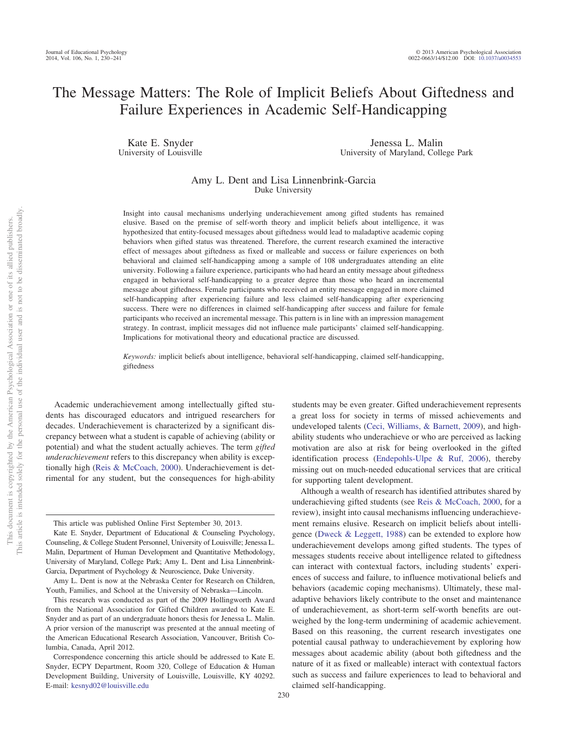# The Message Matters: The Role of Implicit Beliefs About Giftedness and Failure Experiences in Academic Self-Handicapping

Kate E. Snyder University of Louisville

Jenessa L. Malin University of Maryland, College Park

# Amy L. Dent and Lisa Linnenbrink-Garcia Duke University

Insight into causal mechanisms underlying underachievement among gifted students has remained elusive. Based on the premise of self-worth theory and implicit beliefs about intelligence, it was hypothesized that entity-focused messages about giftedness would lead to maladaptive academic coping behaviors when gifted status was threatened. Therefore, the current research examined the interactive effect of messages about giftedness as fixed or malleable and success or failure experiences on both behavioral and claimed self-handicapping among a sample of 108 undergraduates attending an elite university. Following a failure experience, participants who had heard an entity message about giftedness engaged in behavioral self-handicapping to a greater degree than those who heard an incremental message about giftedness. Female participants who received an entity message engaged in more claimed self-handicapping after experiencing failure and less claimed self-handicapping after experiencing success. There were no differences in claimed self-handicapping after success and failure for female participants who received an incremental message. This pattern is in line with an impression management strategy. In contrast, implicit messages did not influence male participants' claimed self-handicapping. Implications for motivational theory and educational practice are discussed.

*Keywords:* implicit beliefs about intelligence, behavioral self-handicapping, claimed self-handicapping, giftedness

Academic underachievement among intellectually gifted students has discouraged educators and intrigued researchers for decades. Underachievement is characterized by a significant discrepancy between what a student is capable of achieving (ability or potential) and what the student actually achieves. The term *gifted underachievement* refers to this discrepancy when ability is exceptionally high [\(Reis & McCoach, 2000\)](#page-10-0). Underachievement is detrimental for any student, but the consequences for high-ability

Amy L. Dent is now at the Nebraska Center for Research on Children, Youth, Families, and School at the University of Nebraska—Lincoln.

not to be disseminated broadly one of its allied publishers.

 $\overleftarrow{\mathrm{O}}$  $\widetilde{\Xi}$ 

> students may be even greater. Gifted underachievement represents a great loss for society in terms of missed achievements and undeveloped talents [\(Ceci, Williams, & Barnett, 2009\)](#page-9-0), and highability students who underachieve or who are perceived as lacking motivation are also at risk for being overlooked in the gifted identification process [\(Endepohls-Ulpe & Ruf, 2006\)](#page-9-1), thereby missing out on much-needed educational services that are critical for supporting talent development.

> Although a wealth of research has identified attributes shared by underachieving gifted students (see [Reis & McCoach, 2000,](#page-10-0) for a review), insight into causal mechanisms influencing underachievement remains elusive. Research on implicit beliefs about intelligence [\(Dweck & Leggett, 1988\)](#page-9-2) can be extended to explore how underachievement develops among gifted students. The types of messages students receive about intelligence related to giftedness can interact with contextual factors, including students' experiences of success and failure, to influence motivational beliefs and behaviors (academic coping mechanisms). Ultimately, these maladaptive behaviors likely contribute to the onset and maintenance of underachievement, as short-term self-worth benefits are outweighed by the long-term undermining of academic achievement. Based on this reasoning, the current research investigates one potential causal pathway to underachievement by exploring how messages about academic ability (about both giftedness and the nature of it as fixed or malleable) interact with contextual factors such as success and failure experiences to lead to behavioral and claimed self-handicapping.

This article was published Online First September 30, 2013.

Kate E. Snyder, Department of Educational & Counseling Psychology, Counseling, & College Student Personnel, University of Louisville; Jenessa L. Malin, Department of Human Development and Quantitative Methodology, University of Maryland, College Park; Amy L. Dent and Lisa Linnenbrink-Garcia, Department of Psychology & Neuroscience, Duke University.

This research was conducted as part of the 2009 Hollingworth Award from the National Association for Gifted Children awarded to Kate E. Snyder and as part of an undergraduate honors thesis for Jenessa L. Malin. A prior version of the manuscript was presented at the annual meeting of the American Educational Research Association, Vancouver, British Columbia, Canada, April 2012.

Correspondence concerning this article should be addressed to Kate E. Snyder, ECPY Department, Room 320, College of Education & Human Development Building, University of Louisville, Louisville, KY 40292. E-mail: [kesnyd02@louisville.edu](mailto:kesnyd02@louisville.edu)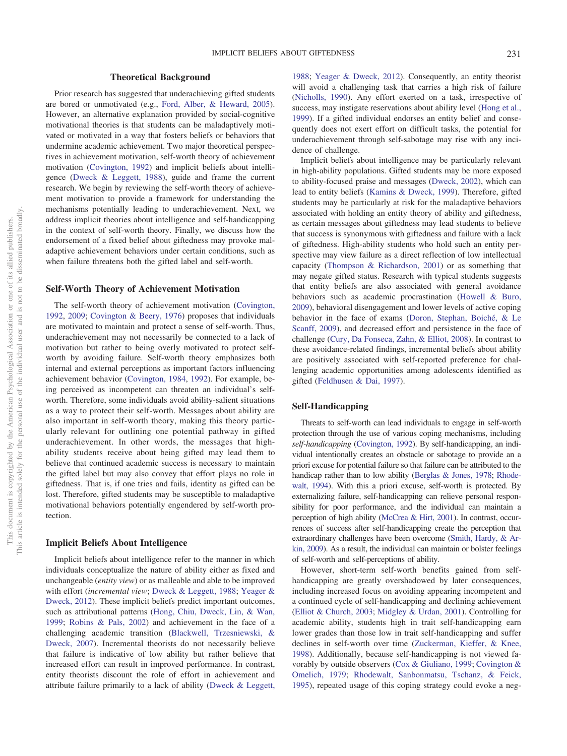## **Theoretical Background**

Prior research has suggested that underachieving gifted students are bored or unmotivated (e.g., [Ford, Alber, & Heward, 2005\)](#page-10-1). However, an alternative explanation provided by social-cognitive motivational theories is that students can be maladaptively motivated or motivated in a way that fosters beliefs or behaviors that undermine academic achievement. Two major theoretical perspectives in achievement motivation, self-worth theory of achievement motivation [\(Covington, 1992\)](#page-9-3) and implicit beliefs about intelligence [\(Dweck & Leggett, 1988\)](#page-9-2), guide and frame the current research. We begin by reviewing the self-worth theory of achievement motivation to provide a framework for understanding the mechanisms potentially leading to underachievement. Next, we address implicit theories about intelligence and self-handicapping in the context of self-worth theory. Finally, we discuss how the endorsement of a fixed belief about giftedness may provoke maladaptive achievement behaviors under certain conditions, such as when failure threatens both the gifted label and self-worth.

### **Self-Worth Theory of Achievement Motivation**

The self-worth theory of achievement motivation [\(Covington,](#page-9-3) [1992,](#page-9-3) [2009;](#page-9-4) [Covington & Beery, 1976\)](#page-9-5) proposes that individuals are motivated to maintain and protect a sense of self-worth. Thus, underachievement may not necessarily be connected to a lack of motivation but rather to being overly motivated to protect selfworth by avoiding failure. Self-worth theory emphasizes both internal and external perceptions as important factors influencing achievement behavior [\(Covington, 1984,](#page-9-6) [1992\)](#page-9-3). For example, being perceived as incompetent can threaten an individual's selfworth. Therefore, some individuals avoid ability-salient situations as a way to protect their self-worth. Messages about ability are also important in self-worth theory, making this theory particularly relevant for outlining one potential pathway in gifted underachievement. In other words, the messages that highability students receive about being gifted may lead them to believe that continued academic success is necessary to maintain the gifted label but may also convey that effort plays no role in giftedness. That is, if one tries and fails, identity as gifted can be lost. Therefore, gifted students may be susceptible to maladaptive motivational behaviors potentially engendered by self-worth protection.

#### **Implicit Beliefs About Intelligence**

Implicit beliefs about intelligence refer to the manner in which individuals conceptualize the nature of ability either as fixed and unchangeable (*entity view*) or as malleable and able to be improved with effort (*incremental view*; [Dweck & Leggett, 1988;](#page-9-2) [Yeager &](#page-11-0) [Dweck, 2012\)](#page-11-0). These implicit beliefs predict important outcomes, such as attributional patterns [\(Hong, Chiu, Dweck, Lin, & Wan,](#page-10-2) [1999;](#page-10-2) [Robins & Pals, 2002\)](#page-11-1) and achievement in the face of a challenging academic transition [\(Blackwell, Trzesniewski, &](#page-9-7) [Dweck, 2007\)](#page-9-7). Incremental theorists do not necessarily believe that failure is indicative of low ability but rather believe that increased effort can result in improved performance. In contrast, entity theorists discount the role of effort in achievement and attribute failure primarily to a lack of ability [\(Dweck & Leggett,](#page-9-2)

[1988;](#page-9-2) [Yeager & Dweck, 2012\)](#page-11-0). Consequently, an entity theorist will avoid a challenging task that carries a high risk of failure [\(Nicholls, 1990\)](#page-10-3). Any effort exerted on a task, irrespective of success, may instigate reservations about ability level [\(Hong et al.,](#page-10-2) [1999\)](#page-10-2). If a gifted individual endorses an entity belief and consequently does not exert effort on difficult tasks, the potential for underachievement through self-sabotage may rise with any incidence of challenge.

Implicit beliefs about intelligence may be particularly relevant in high-ability populations. Gifted students may be more exposed to ability-focused praise and messages [\(Dweck, 2002\)](#page-9-8), which can lead to entity beliefs [\(Kamins & Dweck, 1999\)](#page-10-4). Therefore, gifted students may be particularly at risk for the maladaptive behaviors associated with holding an entity theory of ability and giftedness, as certain messages about giftedness may lead students to believe that success is synonymous with giftedness and failure with a lack of giftedness. High-ability students who hold such an entity perspective may view failure as a direct reflection of low intellectual capacity [\(Thompson & Richardson, 2001\)](#page-11-2) or as something that may negate gifted status. Research with typical students suggests that entity beliefs are also associated with general avoidance behaviors such as academic procrastination [\(Howell & Buro,](#page-10-5) [2009\)](#page-10-5), behavioral disengagement and lower levels of active coping behavior in the face of exams [\(Doron, Stephan, Boiché, & Le](#page-9-9) [Scanff, 2009\)](#page-9-9), and decreased effort and persistence in the face of challenge [\(Cury, Da Fonseca, Zahn, & Elliot, 2008\)](#page-9-10). In contrast to these avoidance-related findings, incremental beliefs about ability are positively associated with self-reported preference for challenging academic opportunities among adolescents identified as gifted [\(Feldhusen & Dai, 1997\)](#page-10-6).

#### **Self-Handicapping**

Threats to self-worth can lead individuals to engage in self-worth protection through the use of various coping mechanisms, including *self-handicapping* [\(Covington, 1992\)](#page-9-3). By self-handicapping, an individual intentionally creates an obstacle or sabotage to provide an a priori excuse for potential failure so that failure can be attributed to the handicap rather than to low ability [\(Berglas & Jones, 1978;](#page-9-11) [Rhode](#page-10-7)[walt, 1994\)](#page-10-7). With this a priori excuse, self-worth is protected. By externalizing failure, self-handicapping can relieve personal responsibility for poor performance, and the individual can maintain a perception of high ability [\(McCrea & Hirt, 2001\)](#page-10-8). In contrast, occurrences of success after self-handicapping create the perception that extraordinary challenges have been overcome [\(Smith, Hardy, & Ar](#page-11-3)[kin, 2009\)](#page-11-3). As a result, the individual can maintain or bolster feelings of self-worth and self-perceptions of ability.

However, short-term self-worth benefits gained from selfhandicapping are greatly overshadowed by later consequences, including increased focus on avoiding appearing incompetent and a continued cycle of self-handicapping and declining achievement [\(Elliot & Church, 2003;](#page-9-12) [Midgley & Urdan, 2001\)](#page-10-9). Controlling for academic ability, students high in trait self-handicapping earn lower grades than those low in trait self-handicapping and suffer declines in self-worth over time [\(Zuckerman, Kieffer, & Knee,](#page-11-4) [1998\)](#page-11-4). Additionally, because self-handicapping is not viewed favorably by outside observers [\(Cox & Giuliano, 1999;](#page-9-13) [Covington &](#page-9-14) [Omelich, 1979;](#page-9-14) [Rhodewalt, Sanbonmatsu, Tschanz, & Feick,](#page-11-5) [1995\)](#page-11-5), repeated usage of this coping strategy could evoke a neg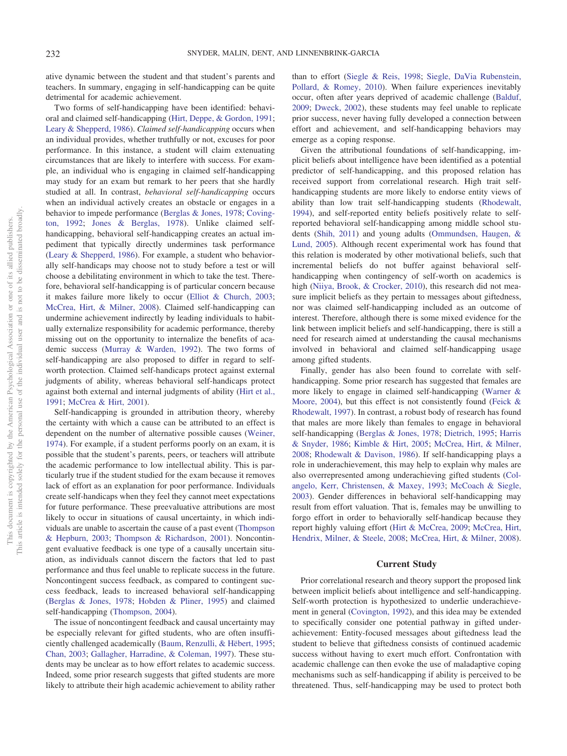ative dynamic between the student and that student's parents and teachers. In summary, engaging in self-handicapping can be quite detrimental for academic achievement.

Two forms of self-handicapping have been identified: behavioral and claimed self-handicapping [\(Hirt, Deppe, & Gordon, 1991;](#page-10-10) [Leary & Shepperd, 1986\)](#page-10-11). *Claimed self-handicapping* occurs when an individual provides, whether truthfully or not, excuses for poor performance. In this instance, a student will claim extenuating circumstances that are likely to interfere with success. For example, an individual who is engaging in claimed self-handicapping may study for an exam but remark to her peers that she hardly studied at all. In contrast, *behavioral self-handicapping* occurs when an individual actively creates an obstacle or engages in a behavior to impede performance [\(Berglas & Jones, 1978;](#page-9-11) [Coving](#page-9-3)[ton, 1992;](#page-9-3) [Jones & Berglas, 1978\)](#page-10-12). Unlike claimed selfhandicapping, behavioral self-handicapping creates an actual impediment that typically directly undermines task performance [\(Leary & Shepperd, 1986\)](#page-10-11). For example, a student who behaviorally self-handicaps may choose not to study before a test or will choose a debilitating environment in which to take the test. Therefore, behavioral self-handicapping is of particular concern because it makes failure more likely to occur [\(Elliot & Church, 2003;](#page-9-12) [McCrea, Hirt, & Milner, 2008\)](#page-10-13). Claimed self-handicapping can undermine achievement indirectly by leading individuals to habitually externalize responsibility for academic performance, thereby missing out on the opportunity to internalize the benefits of academic success [\(Murray & Warden, 1992\)](#page-10-14). The two forms of self-handicapping are also proposed to differ in regard to selfworth protection. Claimed self-handicaps protect against external judgments of ability, whereas behavioral self-handicaps protect against both external and internal judgments of ability [\(Hirt et al.,](#page-10-10) [1991;](#page-10-10) [McCrea & Hirt, 2001\)](#page-10-8).

Self-handicapping is grounded in attribution theory, whereby the certainty with which a cause can be attributed to an effect is dependent on the number of alternative possible causes [\(Weiner,](#page-11-6) [1974\)](#page-11-6). For example, if a student performs poorly on an exam, it is possible that the student's parents, peers, or teachers will attribute the academic performance to low intellectual ability. This is particularly true if the student studied for the exam because it removes lack of effort as an explanation for poor performance. Individuals create self-handicaps when they feel they cannot meet expectations for future performance. These preevaluative attributions are most likely to occur in situations of causal uncertainty, in which individuals are unable to ascertain the cause of a past event [\(Thompson](#page-11-7) [& Hepburn, 2003;](#page-11-7) [Thompson & Richardson, 2001\)](#page-11-2). Noncontingent evaluative feedback is one type of a causally uncertain situation, as individuals cannot discern the factors that led to past performance and thus feel unable to replicate success in the future. Noncontingent success feedback, as compared to contingent success feedback, leads to increased behavioral self-handicapping [\(Berglas & Jones, 1978;](#page-9-11) [Hobden & Pliner, 1995\)](#page-10-15) and claimed self-handicapping [\(Thompson, 2004\)](#page-11-8).

The issue of noncontingent feedback and causal uncertainty may be especially relevant for gifted students, who are often insufficiently challenged academically [\(Baum, Renzulli, & Hëbert, 1995;](#page-9-15) [Chan, 2003;](#page-9-16) [Gallagher, Harradine, & Coleman, 1997\)](#page-10-16). These students may be unclear as to how effort relates to academic success. Indeed, some prior research suggests that gifted students are more likely to attribute their high academic achievement to ability rather than to effort [\(Siegle & Reis, 1998;](#page-11-9) [Siegle, DaVia Rubenstein,](#page-11-10) [Pollard, & Romey, 2010\)](#page-11-10). When failure experiences inevitably occur, often after years deprived of academic challenge [\(Balduf,](#page-9-17) [2009;](#page-9-17) [Dweck, 2002\)](#page-9-8), these students may feel unable to replicate prior success, never having fully developed a connection between effort and achievement, and self-handicapping behaviors may emerge as a coping response.

Given the attributional foundations of self-handicapping, implicit beliefs about intelligence have been identified as a potential predictor of self-handicapping, and this proposed relation has received support from correlational research. High trait selfhandicapping students are more likely to endorse entity views of ability than low trait self-handicapping students [\(Rhodewalt,](#page-10-7) [1994\)](#page-10-7), and self-reported entity beliefs positively relate to selfreported behavioral self-handicapping among middle school students [\(Shih, 2011\)](#page-11-11) and young adults [\(Ommundsen, Haugen, &](#page-10-17) [Lund, 2005\)](#page-10-17). Although recent experimental work has found that this relation is moderated by other motivational beliefs, such that incremental beliefs do not buffer against behavioral selfhandicapping when contingency of self-worth on academics is high [\(Niiya, Brook, & Crocker, 2010\)](#page-10-18), this research did not measure implicit beliefs as they pertain to messages about giftedness, nor was claimed self-handicapping included as an outcome of interest. Therefore, although there is some mixed evidence for the link between implicit beliefs and self-handicapping, there is still a need for research aimed at understanding the causal mechanisms involved in behavioral and claimed self-handicapping usage among gifted students.

Finally, gender has also been found to correlate with selfhandicapping. Some prior research has suggested that females are more likely to engage in claimed self-handicapping [\(Warner &](#page-11-12) [Moore, 2004\)](#page-11-12), but this effect is not consistently found [\(Feick &](#page-10-19) [Rhodewalt, 1997\)](#page-10-19). In contrast, a robust body of research has found that males are more likely than females to engage in behavioral self-handicapping [\(Berglas & Jones, 1978;](#page-9-11) [Dietrich, 1995;](#page-9-18) [Harris](#page-10-20) [& Snyder, 1986;](#page-10-20) [Kimble & Hirt, 2005;](#page-10-21) [McCrea, Hirt, & Milner,](#page-10-13) [2008;](#page-10-13) [Rhodewalt & Davison, 1986\)](#page-10-22). If self-handicapping plays a role in underachievement, this may help to explain why males are also overrepresented among underachieving gifted students [\(Col](#page-9-19)[angelo, Kerr, Christensen, & Maxey, 1993;](#page-9-19) [McCoach & Siegle,](#page-10-23) [2003\)](#page-10-23). Gender differences in behavioral self-handicapping may result from effort valuation. That is, females may be unwilling to forgo effort in order to behaviorally self-handicap because they report highly valuing effort [\(Hirt & McCrea, 2009;](#page-10-24) [McCrea, Hirt,](#page-10-25) [Hendrix, Milner, & Steele, 2008;](#page-10-25) [McCrea, Hirt, & Milner, 2008\)](#page-10-13).

#### **Current Study**

Prior correlational research and theory support the proposed link between implicit beliefs about intelligence and self-handicapping. Self-worth protection is hypothesized to underlie underachievement in general [\(Covington, 1992\)](#page-9-3), and this idea may be extended to specifically consider one potential pathway in gifted underachievement: Entity-focused messages about giftedness lead the student to believe that giftedness consists of continued academic success without having to exert much effort. Confrontation with academic challenge can then evoke the use of maladaptive coping mechanisms such as self-handicapping if ability is perceived to be threatened. Thus, self-handicapping may be used to protect both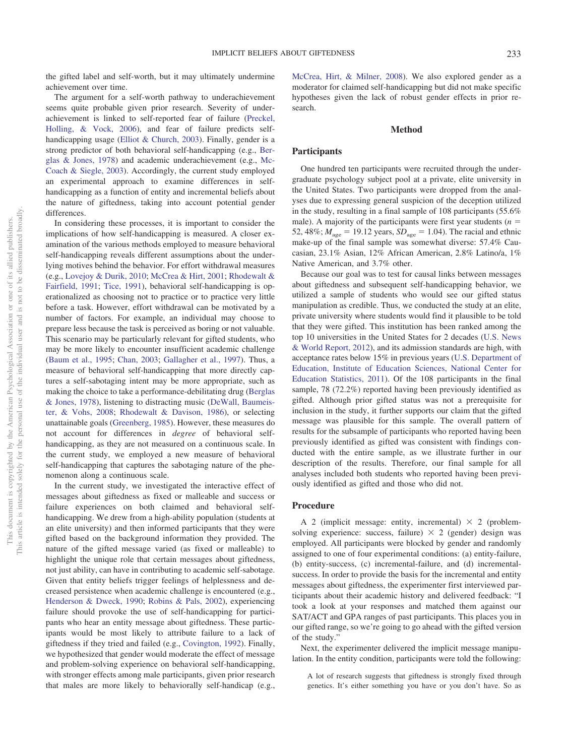the gifted label and self-worth, but it may ultimately undermine achievement over time.

The argument for a self-worth pathway to underachievement seems quite probable given prior research. Severity of underachievement is linked to self-reported fear of failure [\(Preckel,](#page-10-26) [Holling, & Vock, 2006\)](#page-10-26), and fear of failure predicts self-handicapping usage [\(Elliot & Church, 2003\)](#page-9-12). Finally, gender is a strong predictor of both behavioral self-handicapping (e.g., [Ber](#page-9-11)[glas & Jones, 1978\)](#page-9-11) and academic underachievement (e.g., [Mc-](#page-10-23)[Coach & Siegle, 2003\)](#page-10-23). Accordingly, the current study employed an experimental approach to examine differences in selfhandicapping as a function of entity and incremental beliefs about the nature of giftedness, taking into account potential gender differences.

In considering these processes, it is important to consider the implications of how self-handicapping is measured. A closer examination of the various methods employed to measure behavioral self-handicapping reveals different assumptions about the underlying motives behind the behavior. For effort withdrawal measures (e.g., [Lovejoy & Durik, 2010;](#page-10-27) [McCrea & Hirt, 2001;](#page-10-8) [Rhodewalt &](#page-10-28) [Fairfield, 1991;](#page-10-28) [Tice, 1991\)](#page-11-13), behavioral self-handicapping is operationalized as choosing not to practice or to practice very little before a task. However, effort withdrawal can be motivated by a number of factors. For example, an individual may choose to prepare less because the task is perceived as boring or not valuable. This scenario may be particularly relevant for gifted students, who may be more likely to encounter insufficient academic challenge [\(Baum et al., 1995;](#page-9-15) [Chan, 2003;](#page-9-16) [Gallagher et al., 1997\)](#page-10-16). Thus, a measure of behavioral self-handicapping that more directly captures a self-sabotaging intent may be more appropriate, such as making the choice to take a performance-debilitating drug [\(Berglas](#page-9-11) [& Jones, 1978\)](#page-9-11), listening to distracting music [\(DeWall, Baumeis](#page-9-20)[ter, & Vohs, 2008;](#page-9-20) [Rhodewalt & Davison, 1986\)](#page-10-22), or selecting unattainable goals [\(Greenberg, 1985\)](#page-10-29). However, these measures do not account for differences in *degree* of behavioral selfhandicapping, as they are not measured on a continuous scale. In the current study, we employed a new measure of behavioral self-handicapping that captures the sabotaging nature of the phenomenon along a continuous scale.

In the current study, we investigated the interactive effect of messages about giftedness as fixed or malleable and success or failure experiences on both claimed and behavioral selfhandicapping. We drew from a high-ability population (students at an elite university) and then informed participants that they were gifted based on the background information they provided. The nature of the gifted message varied (as fixed or malleable) to highlight the unique role that certain messages about giftedness, not just ability, can have in contributing to academic self-sabotage. Given that entity beliefs trigger feelings of helplessness and decreased persistence when academic challenge is encountered (e.g., [Henderson & Dweck, 1990;](#page-10-30) [Robins & Pals, 2002\)](#page-11-1), experiencing failure should provoke the use of self-handicapping for participants who hear an entity message about giftedness. These participants would be most likely to attribute failure to a lack of giftedness if they tried and failed (e.g., [Covington, 1992\)](#page-9-3). Finally, we hypothesized that gender would moderate the effect of message and problem-solving experience on behavioral self-handicapping, with stronger effects among male participants, given prior research that males are more likely to behaviorally self-handicap (e.g.,

[McCrea, Hirt, & Milner, 2008\)](#page-10-13). We also explored gender as a moderator for claimed self-handicapping but did not make specific hypotheses given the lack of robust gender effects in prior research.

# **Method**

#### **Participants**

One hundred ten participants were recruited through the undergraduate psychology subject pool at a private, elite university in the United States. Two participants were dropped from the analyses due to expressing general suspicion of the deception utilized in the study, resulting in a final sample of 108 participants (55.6% male). A majority of the participants were first year students ( $n =$ 52, 48%;  $M_{\text{age}} = 19.12$  years,  $SD_{\text{age}} = 1.04$ ). The racial and ethnic make-up of the final sample was somewhat diverse: 57.4% Caucasian, 23.1% Asian, 12% African American, 2.8% Latino/a, 1% Native American, and 3.7% other.

Because our goal was to test for causal links between messages about giftedness and subsequent self-handicapping behavior, we utilized a sample of students who would see our gifted status manipulation as credible. Thus, we conducted the study at an elite, private university where students would find it plausible to be told that they were gifted. This institution has been ranked among the top 10 universities in the United States for 2 decades [\(U.S. News](#page-11-14) [& World Report, 2012\)](#page-11-14), and its admission standards are high, with acceptance rates below 15% in previous years [\(U.S. Department of](#page-11-15) [Education, Institute of Education Sciences, National Center for](#page-11-15) [Education Statistics, 2011\)](#page-11-15). Of the 108 participants in the final sample, 78 (72.2%) reported having been previously identified as gifted. Although prior gifted status was not a prerequisite for inclusion in the study, it further supports our claim that the gifted message was plausible for this sample. The overall pattern of results for the subsample of participants who reported having been previously identified as gifted was consistent with findings conducted with the entire sample, as we illustrate further in our description of the results. Therefore, our final sample for all analyses included both students who reported having been previously identified as gifted and those who did not.

#### **Procedure**

A 2 (implicit message: entity, incremental)  $\times$  2 (problemsolving experience: success, failure)  $\times$  2 (gender) design was employed. All participants were blocked by gender and randomly assigned to one of four experimental conditions: (a) entity-failure, (b) entity-success, (c) incremental-failure, and (d) incrementalsuccess. In order to provide the basis for the incremental and entity messages about giftedness, the experimenter first interviewed participants about their academic history and delivered feedback: "I took a look at your responses and matched them against our SAT/ACT and GPA ranges of past participants. This places you in our gifted range, so we're going to go ahead with the gifted version of the study."

Next, the experimenter delivered the implicit message manipulation. In the entity condition, participants were told the following:

A lot of research suggests that giftedness is strongly fixed through genetics. It's either something you have or you don't have. So as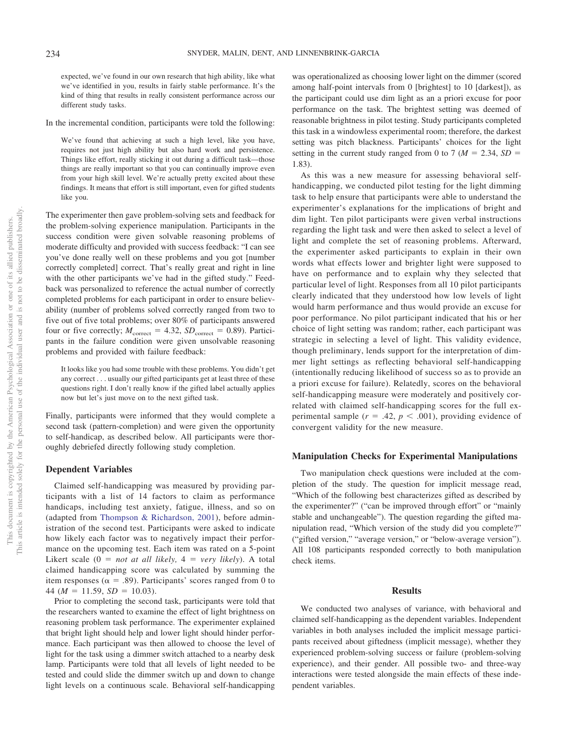expected, we've found in our own research that high ability, like what we've identified in you, results in fairly stable performance. It's the kind of thing that results in really consistent performance across our different study tasks.

In the incremental condition, participants were told the following:

We've found that achieving at such a high level, like you have, requires not just high ability but also hard work and persistence. Things like effort, really sticking it out during a difficult task—those things are really important so that you can continually improve even from your high skill level. We're actually pretty excited about these findings. It means that effort is still important, even for gifted students like you.

The experimenter then gave problem-solving sets and feedback for the problem-solving experience manipulation. Participants in the success condition were given solvable reasoning problems of moderate difficulty and provided with success feedback: "I can see you've done really well on these problems and you got [number correctly completed] correct. That's really great and right in line with the other participants we've had in the gifted study." Feedback was personalized to reference the actual number of correctly completed problems for each participant in order to ensure believability (number of problems solved correctly ranged from two to five out of five total problems; over 80% of participants answered four or five correctly;  $M_{\text{correct}} = 4.32$ ,  $SD_{\text{correct}} = 0.89$ ). Participants in the failure condition were given unsolvable reasoning problems and provided with failure feedback:

It looks like you had some trouble with these problems. You didn't get any correct . . . usually our gifted participants get at least three of these questions right. I don't really know if the gifted label actually applies now but let's just move on to the next gifted task.

Finally, participants were informed that they would complete a second task (pattern-completion) and were given the opportunity to self-handicap, as described below. All participants were thoroughly debriefed directly following study completion.

### **Dependent Variables**

Claimed self-handicapping was measured by providing participants with a list of 14 factors to claim as performance handicaps, including test anxiety, fatigue, illness, and so on (adapted from [Thompson & Richardson, 2001\)](#page-11-2), before administration of the second test. Participants were asked to indicate how likely each factor was to negatively impact their performance on the upcoming test. Each item was rated on a 5-point Likert scale  $(0 = not at all likely, 4 = very likely)$ . A total claimed handicapping score was calculated by summing the item responses ( $\alpha = .89$ ). Participants' scores ranged from 0 to 44 ( $M = 11.59$ ,  $SD = 10.03$ ).

Prior to completing the second task, participants were told that the researchers wanted to examine the effect of light brightness on reasoning problem task performance. The experimenter explained that bright light should help and lower light should hinder performance. Each participant was then allowed to choose the level of light for the task using a dimmer switch attached to a nearby desk lamp. Participants were told that all levels of light needed to be tested and could slide the dimmer switch up and down to change light levels on a continuous scale. Behavioral self-handicapping

was operationalized as choosing lower light on the dimmer (scored among half-point intervals from 0 [brightest] to 10 [darkest]), as the participant could use dim light as an a priori excuse for poor performance on the task. The brightest setting was deemed of reasonable brightness in pilot testing. Study participants completed this task in a windowless experimental room; therefore, the darkest setting was pitch blackness. Participants' choices for the light setting in the current study ranged from 0 to 7 ( $M = 2.34$ ,  $SD =$ 1.83).

As this was a new measure for assessing behavioral selfhandicapping, we conducted pilot testing for the light dimming task to help ensure that participants were able to understand the experimenter's explanations for the implications of bright and dim light. Ten pilot participants were given verbal instructions regarding the light task and were then asked to select a level of light and complete the set of reasoning problems. Afterward, the experimenter asked participants to explain in their own words what effects lower and brighter light were supposed to have on performance and to explain why they selected that particular level of light. Responses from all 10 pilot participants clearly indicated that they understood how low levels of light would harm performance and thus would provide an excuse for poor performance. No pilot participant indicated that his or her choice of light setting was random; rather, each participant was strategic in selecting a level of light. This validity evidence, though preliminary, lends support for the interpretation of dimmer light settings as reflecting behavioral self-handicapping (intentionally reducing likelihood of success so as to provide an a priori excuse for failure). Relatedly, scores on the behavioral self-handicapping measure were moderately and positively correlated with claimed self-handicapping scores for the full experimental sample ( $r = .42$ ,  $p < .001$ ), providing evidence of convergent validity for the new measure.

#### **Manipulation Checks for Experimental Manipulations**

Two manipulation check questions were included at the completion of the study. The question for implicit message read, "Which of the following best characterizes gifted as described by the experimenter?" ("can be improved through effort" or "mainly stable and unchangeable"). The question regarding the gifted manipulation read, "Which version of the study did you complete?" ("gifted version," "average version," or "below-average version"). All 108 participants responded correctly to both manipulation check items.

#### **Results**

We conducted two analyses of variance, with behavioral and claimed self-handicapping as the dependent variables. Independent variables in both analyses included the implicit message participants received about giftedness (implicit message), whether they experienced problem-solving success or failure (problem-solving experience), and their gender. All possible two- and three-way interactions were tested alongside the main effects of these independent variables.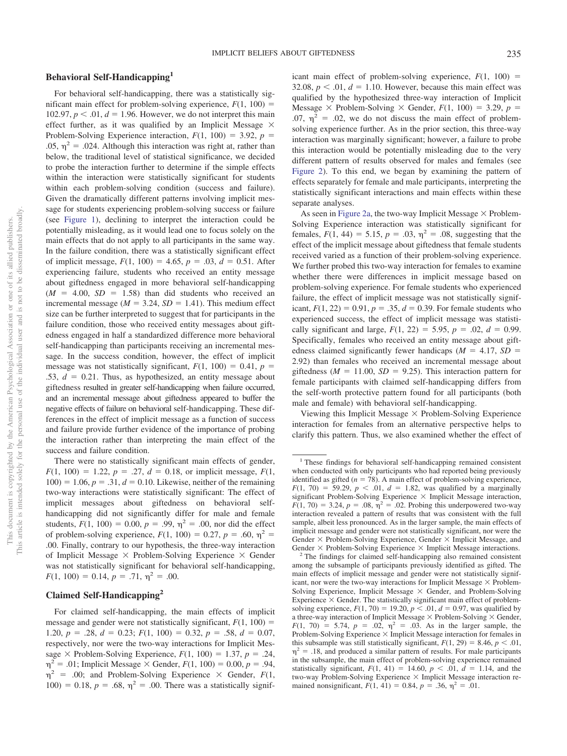### **Behavioral Self-Handicapping1**

For behavioral self-handicapping, there was a statistically significant main effect for problem-solving experience, *F*(1, 100) 102.97,  $p < .01$ ,  $d = 1.96$ . However, we do not interpret this main effect further, as it was qualified by an Implicit Message  $\times$ Problem-Solving Experience interaction,  $F(1, 100) = 3.92$ ,  $p =$ .05,  $\eta^2$  = .024. Although this interaction was right at, rather than below, the traditional level of statistical significance, we decided to probe the interaction further to determine if the simple effects within the interaction were statistically significant for students within each problem-solving condition (success and failure). Given the dramatically different patterns involving implicit message for students experiencing problem-solving success or failure (see [Figure 1\)](#page-6-0), declining to interpret the interaction could be potentially misleading, as it would lead one to focus solely on the main effects that do not apply to all participants in the same way. In the failure condition, there was a statistically significant effect of implicit message,  $F(1, 100) = 4.65$ ,  $p = .03$ ,  $d = 0.51$ . After experiencing failure, students who received an entity message about giftedness engaged in more behavioral self-handicapping  $(M = 4.00, SD = 1.58)$  than did students who received an incremental message ( $M = 3.24$ ,  $SD = 1.41$ ). This medium effect size can be further interpreted to suggest that for participants in the failure condition, those who received entity messages about giftedness engaged in half a standardized difference more behavioral self-handicapping than participants receiving an incremental message. In the success condition, however, the effect of implicit message was not statistically significant,  $F(1, 100) = 0.41$ ,  $p =$ .53,  $d = 0.21$ . Thus, as hypothesized, an entity message about giftedness resulted in greater self-handicapping when failure occurred, and an incremental message about giftedness appeared to buffer the negative effects of failure on behavioral self-handicapping. These differences in the effect of implicit message as a function of success and failure provide further evidence of the importance of probing the interaction rather than interpreting the main effect of the success and failure condition.

There were no statistically significant main effects of gender,  $F(1, 100) = 1.22$ ,  $p = .27$ ,  $d = 0.18$ , or implicit message,  $F(1, 100) = 1.22$ ,  $p = .27$ ,  $d = 0.18$ , or implicit message,  $F(1, 100) = 1.22$  $100$ ) = 1.06,  $p = .31$ ,  $d = 0.10$ . Likewise, neither of the remaining two-way interactions were statistically significant: The effect of implicit messages about giftedness on behavioral selfhandicapping did not significantly differ for male and female students,  $F(1, 100) = 0.00$ ,  $p = .99$ ,  $\eta^2 = .00$ , nor did the effect of problem-solving experience,  $F(1, 100) = 0.27$ ,  $p = .60$ ,  $\eta^2 =$ .00. Finally, contrary to our hypothesis, the three-way interaction of Implicit Message  $\times$  Problem-Solving Experience  $\times$  Gender was not statistically significant for behavioral self-handicapping,  $F(1, 100) = 0.14, p = .71, \eta^2 = .00.$ 

# **Claimed Self-Handicapping2**

For claimed self-handicapping, the main effects of implicit message and gender were not statistically significant,  $F(1, 100) =$ 1.20,  $p = .28$ ,  $d = 0.23$ ;  $F(1, 100) = 0.32$ ,  $p = .58$ ,  $d = 0.07$ , respectively, nor were the two-way interactions for Implicit Message  $\times$  Problem-Solving Experience,  $F(1, 100) = 1.37$ ,  $p = .24$ ,  $\eta^2 = .01$ ; Implicit Message  $\times$  Gender,  $F(1, 100) = 0.00, p = .94$ ,  $\eta^2$  = .00; and Problem-Solving Experience  $\times$  Gender,  $F(1,$ 100) = 0.18,  $p = .68$ ,  $\eta^2 = .00$ . There was a statistically significant main effect of problem-solving experience,  $F(1, 100) =$ 32.08,  $p < .01$ ,  $d = 1.10$ . However, because this main effect was qualified by the hypothesized three-way interaction of Implicit Message  $\times$  Problem-Solving  $\times$  Gender,  $F(1, 100) = 3.29$ ,  $p =$ .07,  $\eta^2$  = .02, we do not discuss the main effect of problemsolving experience further. As in the prior section, this three-way interaction was marginally significant; however, a failure to probe this interaction would be potentially misleading due to the very different pattern of results observed for males and females (see [Figure 2\)](#page-6-1). To this end, we began by examining the pattern of effects separately for female and male participants, interpreting the statistically significant interactions and main effects within these separate analyses.

As seen in [Figure 2a,](#page-6-1) the two-way Implicit Message  $\times$  Problem-Solving Experience interaction was statistically significant for females,  $F(1, 44) = 5.15$ ,  $p = .03$ ,  $\eta^2 = .08$ , suggesting that the effect of the implicit message about giftedness that female students received varied as a function of their problem-solving experience. We further probed this two-way interaction for females to examine whether there were differences in implicit message based on problem-solving experience. For female students who experienced failure, the effect of implicit message was not statistically significant,  $F(1, 22) = 0.91$ ,  $p = .35$ ,  $d = 0.39$ . For female students who experienced success, the effect of implicit message was statistically significant and large,  $F(1, 22) = 5.95$ ,  $p = .02$ ,  $d = 0.99$ . Specifically, females who received an entity message about giftedness claimed significantly fewer handicaps ( $M = 4.17$ ,  $SD =$ 2.92) than females who received an incremental message about giftedness ( $M = 11.00$ ,  $SD = 9.25$ ). This interaction pattern for female participants with claimed self-handicapping differs from the self-worth protective pattern found for all participants (both male and female) with behavioral self-handicapping.

Viewing this Implicit Message  $\times$  Problem-Solving Experience interaction for females from an alternative perspective helps to clarify this pattern. Thus, we also examined whether the effect of

<sup>&</sup>lt;sup>1</sup> These findings for behavioral self-handicapping remained consistent when conducted with only participants who had reported being previously identified as gifted  $(n = 78)$ . A main effect of problem-solving experience,  $F(1, 70) = 59.29, p < .01, d = 1.82$ , was qualified by a marginally significant Problem-Solving Experience  $\times$  Implicit Message interaction,  $F(1, 70) = 3.24$ ,  $p = .08$ ,  $\eta^2 = .02$ . Probing this underpowered two-way interaction revealed a pattern of results that was consistent with the full sample, albeit less pronounced. As in the larger sample, the main effects of implicit message and gender were not statistically significant, nor were the Gender  $\times$  Problem-Solving Experience, Gender  $\times$  Implicit Message, and Gender  $\times$  Problem-Solving Experience  $\times$ 

The findings for claimed self-handicapping also remained consistent among the subsample of participants previously identified as gifted. The main effects of implicit message and gender were not statistically significant, nor were the two-way interactions for Implicit Message  $\times$  Problem-Solving Experience, Implicit Message  $\times$  Gender, and Problem-Solving Experience  $\times$  Gender. The statistically significant main effect of problemsolving experience,  $F(1, 70) = 19.20, p < .01, d = 0.97$ , was qualified by a three-way interaction of Implicit Message  $\times$  Problem-Solving  $\times$  Gender,  $F(1, 70) = 5.74$ ,  $p = .02$ ,  $\eta^2 = .03$ . As in the larger sample, the Problem-Solving Experience  $\times$  Implicit Message interaction for females in this subsample was still statistically significant,  $F(1, 29) = 8.46$ ,  $p < .01$ ,  $\eta^2$  = .18, and produced a similar pattern of results. For male participants in the subsample, the main effect of problem-solving experience remained statistically significant,  $F(1, 41) = 14.60$ ,  $p < .01$ ,  $d = 1.14$ , and the two-way Problem-Solving Experience  $\times$  Implicit Message interaction remained nonsignificant,  $F(1, 41) = 0.84$ ,  $p = .36$ ,  $\eta^2 = .01$ .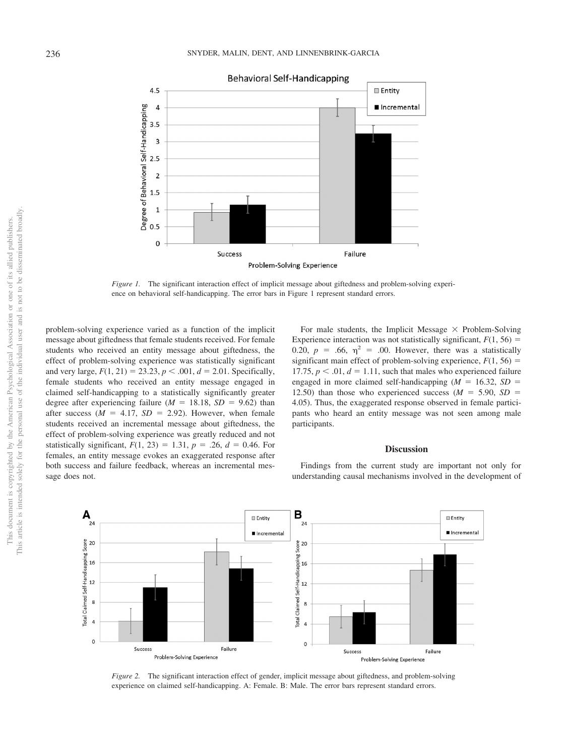

**Behavioral Self-Handicapping** 

<span id="page-6-0"></span>*Figure 1.* The significant interaction effect of implicit message about giftedness and problem-solving experience on behavioral self-handicapping. The error bars in Figure 1 represent standard errors.

problem-solving experience varied as a function of the implicit message about giftedness that female students received. For female students who received an entity message about giftedness, the effect of problem-solving experience was statistically significant and very large,  $F(1, 21) = 23.23$ ,  $p < .001$ ,  $d = 2.01$ . Specifically, female students who received an entity message engaged in claimed self-handicapping to a statistically significantly greater degree after experiencing failure  $(M = 18.18, SD = 9.62)$  than after success  $(M = 4.17, SD = 2.92)$ . However, when female students received an incremental message about giftedness, the effect of problem-solving experience was greatly reduced and not statistically significant,  $F(1, 23) = 1.31$ ,  $p = .26$ ,  $d = 0.46$ . For females, an entity message evokes an exaggerated response after both success and failure feedback, whereas an incremental message does not.

For male students, the Implicit Message  $\times$  Problem-Solving Experience interaction was not statistically significant,  $F(1, 56)$  = 0.20,  $p = .66$ ,  $\eta^2 = .00$ . However, there was a statistically significant main effect of problem-solving experience,  $F(1, 56)$  = 17.75,  $p < .01$ ,  $d = 1.11$ , such that males who experienced failure engaged in more claimed self-handicapping  $(M = 16.32, SD =$ 12.50) than those who experienced success  $(M = 5.90, SD =$ 4.05). Thus, the exaggerated response observed in female participants who heard an entity message was not seen among male participants.

#### **Discussion**

Findings from the current study are important not only for understanding causal mechanisms involved in the development of



<span id="page-6-1"></span>*Figure 2.* The significant interaction effect of gender, implicit message about giftedness, and problem-solving experience on claimed self-handicapping. A: Female. B: Male. The error bars represent standard errors.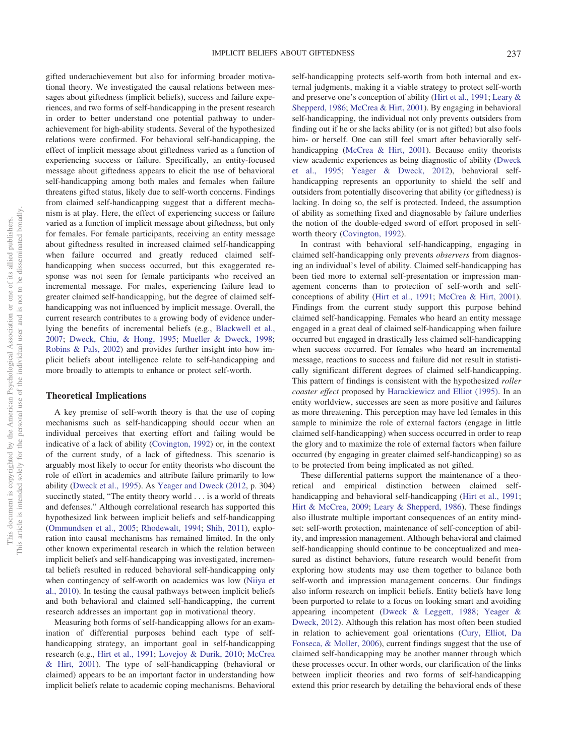gifted underachievement but also for informing broader motivational theory. We investigated the causal relations between messages about giftedness (implicit beliefs), success and failure experiences, and two forms of self-handicapping in the present research in order to better understand one potential pathway to underachievement for high-ability students. Several of the hypothesized relations were confirmed. For behavioral self-handicapping, the effect of implicit message about giftedness varied as a function of experiencing success or failure. Specifically, an entity-focused message about giftedness appears to elicit the use of behavioral self-handicapping among both males and females when failure threatens gifted status, likely due to self-worth concerns. Findings from claimed self-handicapping suggest that a different mechanism is at play. Here, the effect of experiencing success or failure varied as a function of implicit message about giftedness, but only for females. For female participants, receiving an entity message about giftedness resulted in increased claimed self-handicapping when failure occurred and greatly reduced claimed selfhandicapping when success occurred, but this exaggerated response was not seen for female participants who received an incremental message. For males, experiencing failure lead to greater claimed self-handicapping, but the degree of claimed selfhandicapping was not influenced by implicit message. Overall, the current research contributes to a growing body of evidence underlying the benefits of incremental beliefs (e.g., [Blackwell et al.,](#page-9-7) [2007;](#page-9-7) [Dweck, Chiu, & Hong, 1995;](#page-9-21) [Mueller & Dweck, 1998;](#page-10-31) [Robins & Pals, 2002\)](#page-11-1) and provides further insight into how implicit beliefs about intelligence relate to self-handicapping and more broadly to attempts to enhance or protect self-worth.

#### **Theoretical Implications**

A key premise of self-worth theory is that the use of coping mechanisms such as self-handicapping should occur when an individual perceives that exerting effort and failing would be indicative of a lack of ability [\(Covington, 1992\)](#page-9-3) or, in the context of the current study, of a lack of giftedness. This scenario is arguably most likely to occur for entity theorists who discount the role of effort in academics and attribute failure primarily to low ability [\(Dweck et al., 1995\)](#page-9-21). As [Yeager and Dweck \(2012,](#page-11-0) p. 304) succinctly stated, "The entity theory world . . . is a world of threats and defenses." Although correlational research has supported this hypothesized link between implicit beliefs and self-handicapping [\(Ommundsen et al., 2005;](#page-10-17) [Rhodewalt, 1994;](#page-10-7) [Shih, 2011\)](#page-11-11), exploration into causal mechanisms has remained limited. In the only other known experimental research in which the relation between implicit beliefs and self-handicapping was investigated, incremental beliefs resulted in reduced behavioral self-handicapping only when contingency of self-worth on academics was low [\(Niiya et](#page-10-18) [al., 2010\)](#page-10-18). In testing the causal pathways between implicit beliefs and both behavioral and claimed self-handicapping, the current research addresses an important gap in motivational theory.

Measuring both forms of self-handicapping allows for an examination of differential purposes behind each type of selfhandicapping strategy, an important goal in self-handicapping research (e.g., [Hirt et al., 1991;](#page-10-10) [Lovejoy & Durik, 2010;](#page-10-27) [McCrea](#page-10-8) [& Hirt, 2001\)](#page-10-8). The type of self-handicapping (behavioral or claimed) appears to be an important factor in understanding how implicit beliefs relate to academic coping mechanisms. Behavioral self-handicapping protects self-worth from both internal and external judgments, making it a viable strategy to protect self-worth and preserve one's conception of ability [\(Hirt et al., 1991;](#page-10-10) [Leary &](#page-10-11) [Shepperd, 1986;](#page-10-11) [McCrea & Hirt, 2001\)](#page-10-8). By engaging in behavioral self-handicapping, the individual not only prevents outsiders from finding out if he or she lacks ability (or is not gifted) but also fools him- or herself. One can still feel smart after behaviorally self-handicapping [\(McCrea & Hirt, 2001\)](#page-10-8). Because entity theorists view academic experiences as being diagnostic of ability [\(Dweck](#page-9-21) [et al., 1995;](#page-9-21) [Yeager & Dweck, 2012\)](#page-11-0), behavioral selfhandicapping represents an opportunity to shield the self and outsiders from potentially discovering that ability (or giftedness) is lacking. In doing so, the self is protected. Indeed, the assumption of ability as something fixed and diagnosable by failure underlies the notion of the double-edged sword of effort proposed in selfworth theory [\(Covington, 1992\)](#page-9-3).

In contrast with behavioral self-handicapping, engaging in claimed self-handicapping only prevents *observers* from diagnosing an individual's level of ability. Claimed self-handicapping has been tied more to external self-presentation or impression management concerns than to protection of self-worth and selfconceptions of ability [\(Hirt et al., 1991;](#page-10-10) [McCrea & Hirt, 2001\)](#page-10-8). Findings from the current study support this purpose behind claimed self-handicapping. Females who heard an entity message engaged in a great deal of claimed self-handicapping when failure occurred but engaged in drastically less claimed self-handicapping when success occurred. For females who heard an incremental message, reactions to success and failure did not result in statistically significant different degrees of claimed self-handicapping. This pattern of findings is consistent with the hypothesized *roller coaster effect* proposed by [Harackiewicz and Elliot \(1995\).](#page-10-32) In an entity worldview, successes are seen as more positive and failures as more threatening. This perception may have led females in this sample to minimize the role of external factors (engage in little claimed self-handicapping) when success occurred in order to reap the glory and to maximize the role of external factors when failure occurred (by engaging in greater claimed self-handicapping) so as to be protected from being implicated as not gifted.

These differential patterns support the maintenance of a theoretical and empirical distinction between claimed selfhandicapping and behavioral self-handicapping [\(Hirt et al., 1991;](#page-10-10) [Hirt & McCrea, 2009;](#page-10-24) [Leary & Shepperd, 1986\)](#page-10-11). These findings also illustrate multiple important consequences of an entity mindset: self-worth protection, maintenance of self-conception of ability, and impression management. Although behavioral and claimed self-handicapping should continue to be conceptualized and measured as distinct behaviors, future research would benefit from exploring how students may use them together to balance both self-worth and impression management concerns. Our findings also inform research on implicit beliefs. Entity beliefs have long been purported to relate to a focus on looking smart and avoiding appearing incompetent [\(Dweck & Leggett, 1988;](#page-9-2) [Yeager &](#page-11-0) [Dweck, 2012\)](#page-11-0). Although this relation has most often been studied in relation to achievement goal orientations [\(Cury, Elliot, Da](#page-9-22) [Fonseca, & Moller, 2006\)](#page-9-22), current findings suggest that the use of claimed self-handicapping may be another manner through which these processes occur. In other words, our clarification of the links between implicit theories and two forms of self-handicapping extend this prior research by detailing the behavioral ends of these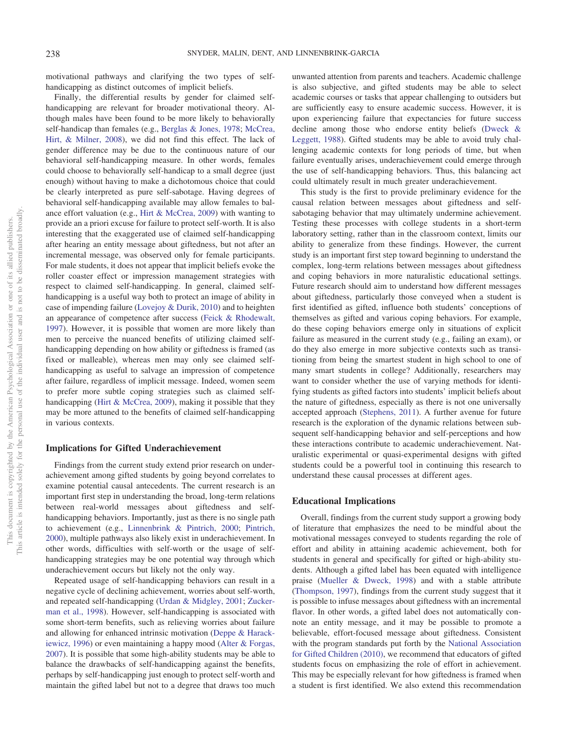motivational pathways and clarifying the two types of selfhandicapping as distinct outcomes of implicit beliefs.

Finally, the differential results by gender for claimed selfhandicapping are relevant for broader motivational theory. Although males have been found to be more likely to behaviorally self-handicap than females (e.g., [Berglas & Jones, 1978;](#page-9-11) [McCrea,](#page-10-13) [Hirt, & Milner, 2008\)](#page-10-13), we did not find this effect. The lack of gender difference may be due to the continuous nature of our behavioral self-handicapping measure. In other words, females could choose to behaviorally self-handicap to a small degree (just enough) without having to make a dichotomous choice that could be clearly interpreted as pure self-sabotage. Having degrees of behavioral self-handicapping available may allow females to balance effort valuation (e.g., [Hirt & McCrea, 2009\)](#page-10-24) with wanting to provide an a priori excuse for failure to protect self-worth. It is also interesting that the exaggerated use of claimed self-handicapping after hearing an entity message about giftedness, but not after an incremental message, was observed only for female participants. For male students, it does not appear that implicit beliefs evoke the roller coaster effect or impression management strategies with respect to claimed self-handicapping. In general, claimed selfhandicapping is a useful way both to protect an image of ability in case of impending failure [\(Lovejoy & Durik, 2010\)](#page-10-27) and to heighten an appearance of competence after success [\(Feick & Rhodewalt,](#page-10-19) [1997\)](#page-10-19). However, it is possible that women are more likely than men to perceive the nuanced benefits of utilizing claimed selfhandicapping depending on how ability or giftedness is framed (as fixed or malleable), whereas men may only see claimed selfhandicapping as useful to salvage an impression of competence after failure, regardless of implicit message. Indeed, women seem to prefer more subtle coping strategies such as claimed selfhandicapping [\(Hirt & McCrea, 2009\)](#page-10-24), making it possible that they may be more attuned to the benefits of claimed self-handicapping in various contexts.

### **Implications for Gifted Underachievement**

Findings from the current study extend prior research on underachievement among gifted students by going beyond correlates to examine potential causal antecedents. The current research is an important first step in understanding the broad, long-term relations between real-world messages about giftedness and selfhandicapping behaviors. Importantly, just as there is no single path to achievement (e.g., [Linnenbrink & Pintrich, 2000;](#page-10-33) [Pintrich,](#page-10-34) [2000\)](#page-10-34), multiple pathways also likely exist in underachievement. In other words, difficulties with self-worth or the usage of selfhandicapping strategies may be one potential way through which underachievement occurs but likely not the only way.

Repeated usage of self-handicapping behaviors can result in a negative cycle of declining achievement, worries about self-worth, and repeated self-handicapping [\(Urdan & Midgley, 2001;](#page-11-16) [Zucker](#page-11-4)[man et al., 1998\)](#page-11-4). However, self-handicapping is associated with some short-term benefits, such as relieving worries about failure and allowing for enhanced intrinsic motivation [\(Deppe & Harack](#page-9-23)[iewicz, 1996\)](#page-9-23) or even maintaining a happy mood [\(Alter & Forgas,](#page-9-24) [2007\)](#page-9-24). It is possible that some high-ability students may be able to balance the drawbacks of self-handicapping against the benefits, perhaps by self-handicapping just enough to protect self-worth and maintain the gifted label but not to a degree that draws too much

unwanted attention from parents and teachers. Academic challenge is also subjective, and gifted students may be able to select academic courses or tasks that appear challenging to outsiders but are sufficiently easy to ensure academic success. However, it is upon experiencing failure that expectancies for future success decline among those who endorse entity beliefs [\(Dweck &](#page-9-2) [Leggett, 1988\)](#page-9-2). Gifted students may be able to avoid truly challenging academic contexts for long periods of time, but when failure eventually arises, underachievement could emerge through the use of self-handicapping behaviors. Thus, this balancing act could ultimately result in much greater underachievement.

This study is the first to provide preliminary evidence for the causal relation between messages about giftedness and selfsabotaging behavior that may ultimately undermine achievement. Testing these processes with college students in a short-term laboratory setting, rather than in the classroom context, limits our ability to generalize from these findings. However, the current study is an important first step toward beginning to understand the complex, long-term relations between messages about giftedness and coping behaviors in more naturalistic educational settings. Future research should aim to understand how different messages about giftedness, particularly those conveyed when a student is first identified as gifted, influence both students' conceptions of themselves as gifted and various coping behaviors. For example, do these coping behaviors emerge only in situations of explicit failure as measured in the current study (e.g., failing an exam), or do they also emerge in more subjective contexts such as transitioning from being the smartest student in high school to one of many smart students in college? Additionally, researchers may want to consider whether the use of varying methods for identifying students as gifted factors into students' implicit beliefs about the nature of giftedness, especially as there is not one universally accepted approach [\(Stephens, 2011\)](#page-11-17). A further avenue for future research is the exploration of the dynamic relations between subsequent self-handicapping behavior and self-perceptions and how these interactions contribute to academic underachievement. Naturalistic experimental or quasi-experimental designs with gifted students could be a powerful tool in continuing this research to understand these causal processes at different ages.

#### **Educational Implications**

Overall, findings from the current study support a growing body of literature that emphasizes the need to be mindful about the motivational messages conveyed to students regarding the role of effort and ability in attaining academic achievement, both for students in general and specifically for gifted or high-ability students. Although a gifted label has been equated with intelligence praise [\(Mueller & Dweck, 1998\)](#page-10-31) and with a stable attribute [\(Thompson, 1997\)](#page-11-18), findings from the current study suggest that it is possible to infuse messages about giftedness with an incremental flavor. In other words, a gifted label does not automatically connote an entity message, and it may be possible to promote a believable, effort-focused message about giftedness. Consistent with the program standards put forth by the [National Association](#page-10-35) [for Gifted Children \(2010\),](#page-10-35) we recommend that educators of gifted students focus on emphasizing the role of effort in achievement. This may be especially relevant for how giftedness is framed when a student is first identified. We also extend this recommendation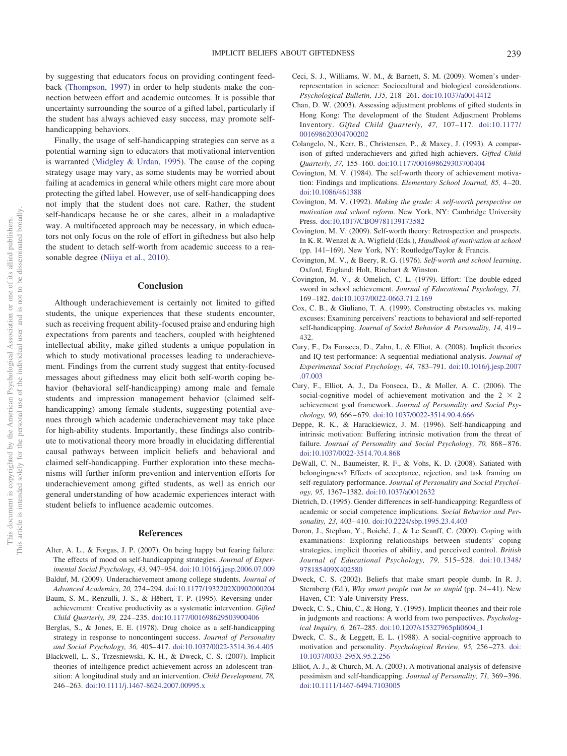<span id="page-9-1"></span>by suggesting that educators focus on providing contingent feedback [\(Thompson, 1997\)](#page-11-18) in order to help students make the connection between effort and academic outcomes. It is possible that uncertainty surrounding the source of a gifted label, particularly if the student has always achieved easy success, may promote selfhandicapping behaviors.

Finally, the usage of self-handicapping strategies can serve as a potential warning sign to educators that motivational intervention is warranted [\(Midgley & Urdan, 1995\)](#page-10-36). The cause of the coping strategy usage may vary, as some students may be worried about failing at academics in general while others might care more about protecting the gifted label. However, use of self-handicapping does not imply that the student does not care. Rather, the student self-handicaps because he or she cares, albeit in a maladaptive way. A multifaceted approach may be necessary, in which educators not only focus on the role of effort in giftedness but also help the student to detach self-worth from academic success to a reasonable degree [\(Niiya et al., 2010\)](#page-10-18).

#### **Conclusion**

Although underachievement is certainly not limited to gifted students, the unique experiences that these students encounter, such as receiving frequent ability-focused praise and enduring high expectations from parents and teachers, coupled with heightened intellectual ability, make gifted students a unique population in which to study motivational processes leading to underachievement. Findings from the current study suggest that entity-focused messages about giftedness may elicit both self-worth coping behavior (behavioral self-handicapping) among male and female students and impression management behavior (claimed selfhandicapping) among female students, suggesting potential avenues through which academic underachievement may take place for high-ability students. Importantly, these findings also contribute to motivational theory more broadly in elucidating differential causal pathways between implicit beliefs and behavioral and claimed self-handicapping. Further exploration into these mechanisms will further inform prevention and intervention efforts for underachievement among gifted students, as well as enrich our general understanding of how academic experiences interact with student beliefs to influence academic outcomes.

# **References**

- <span id="page-9-24"></span>Alter, A. L., & Forgas, J. P. (2007). On being happy but fearing failure: The effects of mood on self-handicapping strategies. *Journal of Experimental Social Psychology, 43,* 947–954. [doi:10.1016/j.jesp.2006.07.009](http://dx.doi.org/10.1016/j.jesp.2006.07.009)
- <span id="page-9-17"></span>Balduf, M. (2009). Underachievement among college students. *Journal of Advanced Academics, 20,* 274 –294. [doi:10.1177/1932202X0902000204](http://dx.doi.org/10.1177/1932202X0902000204)
- <span id="page-9-15"></span>Baum, S. M., Renzulli, J. S., & Hëbert, T. P. (1995). Reversing underachievement: Creative productivity as a systematic intervention. *Gifted Child Quarterly, 39,* 224 –235. [doi:10.1177/001698629503900406](http://dx.doi.org/10.1177/001698629503900406)
- <span id="page-9-11"></span>Berglas, S., & Jones, E. E. (1978). Drug choice as a self-handicapping strategy in response to noncontingent success. *Journal of Personality and Social Psychology, 36,* 405– 417. [doi:10.1037/0022-3514.36.4.405](http://dx.doi.org/10.1037/0022-3514.36.4.405)
- <span id="page-9-7"></span>Blackwell, L. S., Trzesniewski, K. H., & Dweck, C. S. (2007). Implicit theories of intelligence predict achievement across an adolescent transition: A longitudinal study and an intervention. *Child Development, 78,* 246 –263. [doi:10.1111/j.1467-8624.2007.00995.x](http://dx.doi.org/10.1111/j.1467-8624.2007.00995.x)
- <span id="page-9-0"></span>Ceci, S. J., Williams, W. M., & Barnett, S. M. (2009). Women's underrepresentation in science: Sociocultural and biological considerations. *Psychological Bulletin, 135,* 218 –261. [doi:10.1037/a0014412](http://dx.doi.org/10.1037/a0014412)
- <span id="page-9-16"></span>Chan, D. W. (2003). Assessing adjustment problems of gifted students in Hong Kong: The development of the Student Adjustment Problems Inventory. *Gifted Child Quarterly, 47,* 107–117. [doi:10.1177/](http://dx.doi.org/10.1177/001698620304700202) [001698620304700202](http://dx.doi.org/10.1177/001698620304700202)
- <span id="page-9-19"></span>Colangelo, N., Kerr, B., Christensen, P., & Maxey, J. (1993). A comparison of gifted underachievers and gifted high achievers. *Gifted Child Quarterly, 37,* 155–160. [doi:10.1177/001698629303700404](http://dx.doi.org/10.1177/001698629303700404)
- <span id="page-9-6"></span>Covington, M. V. (1984). The self-worth theory of achievement motivation: Findings and implications. *Elementary School Journal, 85,* 4 –20. [doi:10.1086/461388](http://dx.doi.org/10.1086/461388)
- <span id="page-9-3"></span>Covington, M. V. (1992). *Making the grade: A self-worth perspective on motivation and school reform*. New York, NY: Cambridge University Press. [doi:10.1017/CBO9781139173582](http://dx.doi.org/10.1017/CBO9781139173582)
- <span id="page-9-4"></span>Covington, M. V. (2009). Self-worth theory: Retrospection and prospects. In K. R. Wenzel & A. Wigfield (Eds.), *Handbook of motivation at school* (pp. 141–169). New York, NY: Routledge/Taylor & Francis.
- <span id="page-9-5"></span>Covington, M. V., & Beery, R. G. (1976). *Self-worth and school learning*. Oxford, England: Holt, Rinehart & Winston.
- <span id="page-9-14"></span>Covington, M. V., & Omelich, C. L. (1979). Effort: The double-edged sword in school achievement. *Journal of Educational Psychology, 71,* 169 –182. [doi:10.1037/0022-0663.71.2.169](http://dx.doi.org/10.1037/0022-0663.71.2.169)
- <span id="page-9-13"></span>Cox, C. B., & Giuliano, T. A. (1999). Constructing obstacles vs. making excuses: Examining perceivers' reactions to behavioral and self-reported self-handicapping. *Journal of Social Behavior & Personality, 14,* 419 – 432.
- <span id="page-9-10"></span>Cury, F., Da Fonseca, D., Zahn, I., & Elliot, A. (2008). Implicit theories and IQ test performance: A sequential mediational analysis. *Journal of Experimental Social Psychology, 44,* 783–791. [doi:10.1016/j.jesp.2007](http://dx.doi.org/10.1016/j.jesp.2007.07.003) [.07.003](http://dx.doi.org/10.1016/j.jesp.2007.07.003)
- <span id="page-9-22"></span>Cury, F., Elliot, A. J., Da Fonseca, D., & Moller, A. C. (2006). The social-cognitive model of achievement motivation and the  $2 \times 2$ achievement goal framework. *Journal of Personality and Social Psychology, 90,* 666 – 679. [doi:10.1037/0022-3514.90.4.666](http://dx.doi.org/10.1037/0022-3514.90.4.666)
- <span id="page-9-23"></span>Deppe, R. K., & Harackiewicz, J. M. (1996). Self-handicapping and intrinsic motivation: Buffering intrinsic motivation from the threat of failure. *Journal of Personality and Social Psychology, 70, 868-876*. [doi:10.1037/0022-3514.70.4.868](http://dx.doi.org/10.1037/0022-3514.70.4.868)
- <span id="page-9-20"></span>DeWall, C. N., Baumeister, R. F., & Vohs, K. D. (2008). Satiated with belongingness? Effects of acceptance, rejection, and task framing on self-regulatory performance. *Journal of Personality and Social Psychology, 95,* 1367–1382. [doi:10.1037/a0012632](http://dx.doi.org/10.1037/a0012632)
- <span id="page-9-18"></span>Dietrich, D. (1995). Gender differences in self-handicapping: Regardless of academic or social competence implications. *Social Behavior and Personality, 23,* 403– 410. [doi:10.2224/sbp.1995.23.4.403](http://dx.doi.org/10.2224/sbp.1995.23.4.403)
- <span id="page-9-9"></span>Doron, J., Stephan, Y., Boiché, J., & Le Scanff, C. (2009). Coping with examinations: Exploring relationships between students' coping strategies, implicit theories of ability, and perceived control. *British Journal of Educational Psychology, 79,* 515–528. [doi:10.1348/](http://dx.doi.org/10.1348/978185409X402580) [978185409X402580](http://dx.doi.org/10.1348/978185409X402580)
- <span id="page-9-8"></span>Dweck, C. S. (2002). Beliefs that make smart people dumb. In R. J. Sternberg (Ed.), *Why smart people can be so stupid* (pp. 24-41). New Haven, CT: Yale University Press.
- <span id="page-9-21"></span>Dweck, C. S., Chiu, C., & Hong, Y. (1995). Implicit theories and their role in judgments and reactions: A world from two perspectives. *Psychological Inquiry, 6,* 267–285. [doi:10.1207/s15327965pli0604\\_1](http://dx.doi.org/10.1207/s15327965pli0604_1)
- <span id="page-9-2"></span>Dweck, C. S., & Leggett, E. L. (1988). A social-cognitive approach to motivation and personality. *Psychological Review, 95,* 256 –273. [doi:](http://dx.doi.org/10.1037/0033-295X.95.2.256) [10.1037/0033-295X.95.2.256](http://dx.doi.org/10.1037/0033-295X.95.2.256)
- <span id="page-9-12"></span>Elliot, A. J., & Church, M. A. (2003). A motivational analysis of defensive pessimism and self-handicapping. *Journal of Personality, 71,* 369 –396. [doi:10.1111/1467-6494.7103005](http://dx.doi.org/10.1111/1467-6494.7103005)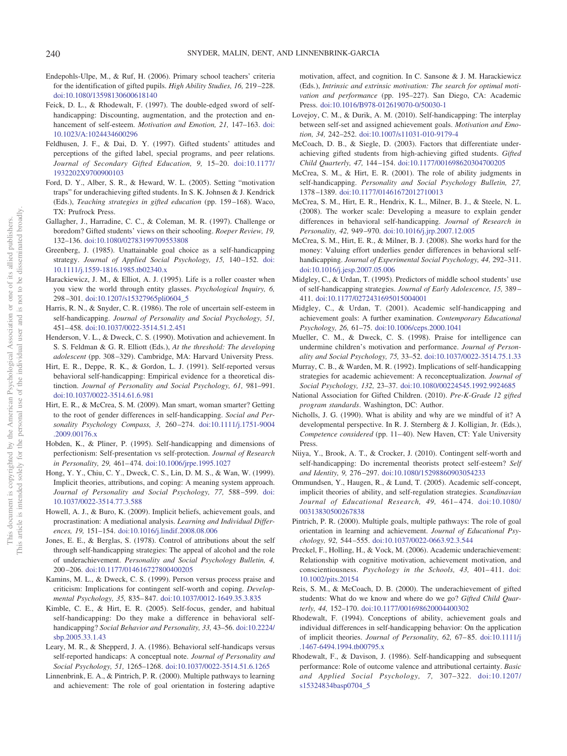- <span id="page-10-28"></span>Endepohls-Ulpe, M., & Ruf, H. (2006). Primary school teachers' criteria for the identification of gifted pupils. *High Ability Studies, 16,* 219 –228. [doi:10.1080/13598130600618140](http://dx.doi.org/10.1080/13598130600618140)
- <span id="page-10-19"></span>Feick, D. L., & Rhodewalt, F. (1997). The double-edged sword of selfhandicapping: Discounting, augmentation, and the protection and enhancement of self-esteem. *Motivation and Emotion, 21,* 147–163. [doi:](http://dx.doi.org/10.1023/A:1024434600296) [10.1023/A:1024434600296](http://dx.doi.org/10.1023/A:1024434600296)
- <span id="page-10-6"></span>Feldhusen, J. F., & Dai, D. Y. (1997). Gifted students' attitudes and perceptions of the gifted label, special programs, and peer relations. *Journal of Secondary Gifted Education, 9,* 15–20. [doi:10.1177/](http://dx.doi.org/10.1177/1932202X9700900103) [1932202X9700900103](http://dx.doi.org/10.1177/1932202X9700900103)
- <span id="page-10-1"></span>Ford, D. Y., Alber, S. R., & Heward, W. L. (2005). Setting "motivation traps" for underachieving gifted students. In S. K. Johnsen & J. Kendrick (Eds.), *Teaching strategies in gifted education* (pp. 159 –168). Waco, TX: Prufrock Press.
- <span id="page-10-16"></span>Gallagher, J., Harradine, C. C., & Coleman, M. R. (1997). Challenge or boredom? Gifted students' views on their schooling. *Roeper Review, 19,* 132–136. [doi:10.1080/02783199709553808](http://dx.doi.org/10.1080/02783199709553808)
- <span id="page-10-29"></span>Greenberg, J. (1985). Unattainable goal choice as a self-handicapping strategy. *Journal of Applied Social Psychology, 15, 140-152*. [doi:](http://dx.doi.org/10.1111/j.1559-1816.1985.tb02340.x) [10.1111/j.1559-1816.1985.tb02340.x](http://dx.doi.org/10.1111/j.1559-1816.1985.tb02340.x)
- <span id="page-10-32"></span>Harackiewicz, J. M., & Elliot, A. J. (1995). Life is a roller coaster when you view the world through entity glasses. *Psychological Inquiry, 6,* 298 –301. [doi:10.1207/s15327965pli0604\\_5](http://dx.doi.org/10.1207/s15327965pli0604_5)
- <span id="page-10-20"></span>Harris, R. N., & Snyder, C. R. (1986). The role of uncertain self-esteem in self-handicapping. *Journal of Personality and Social Psychology, 51,* 451– 458. [doi:10.1037/0022-3514.51.2.451](http://dx.doi.org/10.1037/0022-3514.51.2.451)
- <span id="page-10-30"></span>Henderson, V. L., & Dweck, C. S. (1990). Motivation and achievement. In S. S. Feldman & G. R. Elliott (Eds.), *At the threshold: The developing adolescent* (pp. 308 –329). Cambridge, MA: Harvard University Press.
- <span id="page-10-10"></span>Hirt, E. R., Deppe, R. K., & Gordon, L. J. (1991). Self-reported versus behavioral self-handicapping: Empirical evidence for a theoretical distinction. *Journal of Personality and Social Psychology, 61,* 981–991. [doi:10.1037/0022-3514.61.6.981](http://dx.doi.org/10.1037/0022-3514.61.6.981)
- <span id="page-10-24"></span>Hirt, E. R., & McCrea, S. M. (2009). Man smart, woman smarter? Getting to the root of gender differences in self-handicapping. *Social and Personality Psychology Compass, 3,* 260 –274. [doi:10.1111/j.1751-9004](http://dx.doi.org/10.1111/j.1751-9004.2009.00176.x) [.2009.00176.x](http://dx.doi.org/10.1111/j.1751-9004.2009.00176.x)
- <span id="page-10-15"></span>Hobden, K., & Pliner, P. (1995). Self-handicapping and dimensions of perfectionism: Self-presentation vs self-protection. *Journal of Research in Personality, 29,* 461– 474. [doi:10.1006/jrpe.1995.1027](http://dx.doi.org/10.1006/jrpe.1995.1027)
- <span id="page-10-2"></span>Hong, Y. Y., Chiu, C. Y., Dweck, C. S., Lin, D. M. S., & Wan, W. (1999). Implicit theories, attributions, and coping: A meaning system approach. *Journal of Personality and Social Psychology, 77,* 588 –599. [doi:](http://dx.doi.org/10.1037/0022-3514.77.3.588) [10.1037/0022-3514.77.3.588](http://dx.doi.org/10.1037/0022-3514.77.3.588)
- <span id="page-10-5"></span>Howell, A. J., & Buro, K. (2009). Implicit beliefs, achievement goals, and procrastination: A mediational analysis. *Learning and Individual Differences, 19,* 151–154. [doi:10.1016/j.lindif.2008.08.006](http://dx.doi.org/10.1016/j.lindif.2008.08.006)
- <span id="page-10-12"></span>Jones, E. E., & Berglas, S. (1978). Control of attributions about the self through self-handicapping strategies: The appeal of alcohol and the role of underachievement. *Personality and Social Psychology Bulletin, 4,* 200 –206. [doi:10.1177/014616727800400205](http://dx.doi.org/10.1177/014616727800400205)
- <span id="page-10-4"></span>Kamins, M. L., & Dweck, C. S. (1999). Person versus process praise and criticism: Implications for contingent self-worth and coping. *Developmental Psychology, 35,* 835– 847. [doi:10.1037/0012-1649.35.3.835](http://dx.doi.org/10.1037/0012-1649.35.3.835)
- <span id="page-10-21"></span>Kimble, C. E., & Hirt, E. R. (2005). Self-focus, gender, and habitual self-handicapping: Do they make a difference in behavioral selfhandicapping? *Social Behavior and Personality, 33,* 43–56. [doi:10.2224/](http://dx.doi.org/10.2224/sbp.2005.33.1.43) [sbp.2005.33.1.43](http://dx.doi.org/10.2224/sbp.2005.33.1.43)
- <span id="page-10-11"></span>Leary, M. R., & Shepperd, J. A. (1986). Behavioral self-handicaps versus self-reported handicaps: A conceptual note. *Journal of Personality and Social Psychology, 51,* 1265–1268. [doi:10.1037/0022-3514.51.6.1265](http://dx.doi.org/10.1037/0022-3514.51.6.1265)
- <span id="page-10-33"></span>Linnenbrink, E. A., & Pintrich, P. R. (2000). Multiple pathways to learning and achievement: The role of goal orientation in fostering adaptive

motivation, affect, and cognition. In C. Sansone & J. M. Harackiewicz (Eds.), *Intrinsic and extrinsic motivation: The search for optimal motivation and performance* (pp. 195–227). San Diego, CA: Academic Press. [doi:10.1016/B978-012619070-0/50030-1](http://dx.doi.org/10.1016/B978-012619070-0/50030-1)

- <span id="page-10-27"></span>Lovejoy, C. M., & Durik, A. M. (2010). Self-handicapping: The interplay between self-set and assigned achievement goals. *Motivation and Emotion, 34,* 242–252. [doi:10.1007/s11031-010-9179-4](http://dx.doi.org/10.1007/s11031-010-9179-4)
- <span id="page-10-23"></span>McCoach, D. B., & Siegle, D. (2003). Factors that differentiate underachieving gifted students from high-achieving gifted students. *Gifted Child Quarterly, 47,* 144 –154. [doi:10.1177/001698620304700205](http://dx.doi.org/10.1177/001698620304700205)
- <span id="page-10-8"></span>McCrea, S. M., & Hirt, E. R. (2001). The role of ability judgments in self-handicapping. *Personality and Social Psychology Bulletin, 27,* 1378 –1389. [doi:10.1177/01461672012710013](http://dx.doi.org/10.1177/01461672012710013)
- <span id="page-10-25"></span>McCrea, S. M., Hirt, E. R., Hendrix, K. L., Milner, B. J., & Steele, N. L. (2008). The worker scale: Developing a measure to explain gender differences in behavioral self-handicapping. *Journal of Research in Personality, 42,* 949 –970. [doi:10.1016/j.jrp.2007.12.005](http://dx.doi.org/10.1016/j.jrp.2007.12.005)
- <span id="page-10-13"></span>McCrea, S. M., Hirt, E. R., & Milner, B. J. (2008). She works hard for the money: Valuing effort underlies gender differences in behavioral selfhandicapping. *Journal of Experimental Social Psychology, 44,* 292–311. [doi:10.1016/j.jesp.2007.05.006](http://dx.doi.org/10.1016/j.jesp.2007.05.006)
- <span id="page-10-36"></span>Midgley, C., & Urdan, T. (1995). Predictors of middle school students' use of self-handicapping strategies. *Journal of Early Adolescence, 15,* 389 – 411. [doi:10.1177/0272431695015004001](http://dx.doi.org/10.1177/0272431695015004001)
- <span id="page-10-9"></span>Midgley, C., & Urdan, T. (2001). Academic self-handicapping and achievement goals: A further examination. *Contemporary Educational Psychology, 26,* 61–75. [doi:10.1006/ceps.2000.1041](http://dx.doi.org/10.1006/ceps.2000.1041)
- <span id="page-10-31"></span>Mueller, C. M., & Dweck, C. S. (1998). Praise for intelligence can undermine children's motivation and performance. *Journal of Personality and Social Psychology, 75,* 33–52. [doi:10.1037/0022-3514.75.1.33](http://dx.doi.org/10.1037/0022-3514.75.1.33)
- <span id="page-10-14"></span>Murray, C. B., & Warden, M. R. (1992). Implications of self-handicapping strategies for academic achievement: A reconceptualization. *Journal of Social Psychology, 132,* 23–37. [doi:10.1080/00224545.1992.9924685](http://dx.doi.org/10.1080/00224545.1992.9924685)
- <span id="page-10-35"></span>National Association for Gifted Children. (2010). *Pre-K-Grade 12 gifted program standards*. Washington, DC: Author.
- <span id="page-10-3"></span>Nicholls, J. G. (1990). What is ability and why are we mindful of it? A developmental perspective. In R. J. Sternberg & J. Kolligian, Jr. (Eds.), *Competence considered* (pp. 11-40). New Haven, CT: Yale University Press.
- <span id="page-10-18"></span>Niiya, Y., Brook, A. T., & Crocker, J. (2010). Contingent self-worth and self-handicapping: Do incremental theorists protect self-esteem? *Self and Identity, 9,* 276 –297. [doi:10.1080/15298860903054233](http://dx.doi.org/10.1080/15298860903054233)
- <span id="page-10-17"></span>Ommundsen, Y., Haugen, R., & Lund, T. (2005). Academic self-concept, implicit theories of ability, and self-regulation strategies. *Scandinavian Journal of Educational Research, 49,* 461– 474. [doi:10.1080/](http://dx.doi.org/10.1080/00313830500267838) [00313830500267838](http://dx.doi.org/10.1080/00313830500267838)
- <span id="page-10-34"></span>Pintrich, P. R. (2000). Multiple goals, multiple pathways: The role of goal orientation in learning and achievement. *Journal of Educational Psychology, 92,* 544 –555. [doi:10.1037/0022-0663.92.3.544](http://dx.doi.org/10.1037/0022-0663.92.3.544)
- <span id="page-10-26"></span>Preckel, F., Holling, H., & Vock, M. (2006). Academic underachievement: Relationship with cognitive motivation, achievement motivation, and conscientiousness. *Psychology in the Schools, 43, 401–411.* [doi:](http://dx.doi.org/10.1002/pits.20154) [10.1002/pits.20154](http://dx.doi.org/10.1002/pits.20154)
- <span id="page-10-0"></span>Reis, S. M., & McCoach, D. B. (2000). The underachievement of gifted students: What do we know and where do we go? *Gifted Child Quarterly, 44,* 152–170. [doi:10.1177/001698620004400302](http://dx.doi.org/10.1177/001698620004400302)
- <span id="page-10-7"></span>Rhodewalt, F. (1994). Conceptions of ability, achievement goals and individual differences in self-handicapping behavior: On the application of implicit theories. *Journal of Personality, 62,* 67– 85. [doi:10.1111/j](http://dx.doi.org/10.1111/j.1467-6494.1994.tb00795.x) [.1467-6494.1994.tb00795.x](http://dx.doi.org/10.1111/j.1467-6494.1994.tb00795.x)
- <span id="page-10-22"></span>Rhodewalt, F., & Davison, J. (1986). Self-handicapping and subsequent performance: Role of outcome valence and attributional certainty. *Basic and Applied Social Psychology, 7,* 307–322. [doi:10.1207/](http://dx.doi.org/10.1207/s15324834basp0704_5) [s15324834basp0704\\_5](http://dx.doi.org/10.1207/s15324834basp0704_5)